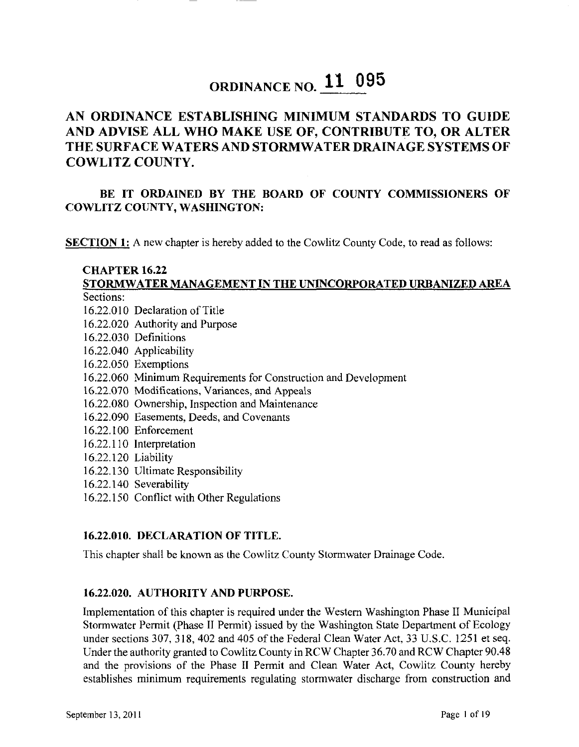# **ORDINANCE NO. 11 095**

### **AN ORDINANCE ESTABLISHING MINIMUM STANDARDS TO GUIDE AND ADVISE ALL WHO MAKE USE OF, CONTRIBUTE TO, OR ALTER THE SURFACE WATERS AND STORMWATER DRAINAGE SYSTEMS OF COWLITZ COUNTY.**

#### **BE IT ORDAINED BY THE BOARD OF COUNTY COMMISSIONERS OF COWLITZ COUNTY, WASHINGTON:**

**SECTION 1:** A new chapter is hereby added to the Cowlitz County Code, to read as follows:

### **CHAPTER 16.22 STORMWATER MANAGEMENT IN THE UNINCORPORATED URBANIZED AREA**

Sections:

- 16.22.010 Declaration of Title
- 16.22.020 Authority and Purpose
- 16.22.030 Definitions
- 16.22.040 Applicability
- 16.22.050 Exemptions
- 16.22.060 Minimum Requirements for Construction and Development
- 16.22.070 Modifications, Variances, and Appeals
- 16.22.080 Ownership, Inspection and Maintenance
- 16.22.090 Easements, Deeds, and Covenants
- 16.22.100 Enforcement
- 16.22.110 Interpretation
- 16.22.120 Liability
- 16.22.130 Ultimate Responsibility
- 16.22.140 Severability
- 16.22.150 Conflict with Other Regulations

#### **16.22.010. DECLARATION OF TITLE.**

This chapter shall be known as the Cowlitz County Stormwater Drainage Code.

#### **16.22.020. AUTHORITY AND PURPOSE.**

Implementation of this chapter is required under the Western Washington Phase II Municipal Stormwater Permit (Phase II Permit) issued by the Washington State Department of Ecology under sections 307, 318, 402 and 405 of the Federal Clean Water Act, 33 U.S.C. 1251 et seq. Under the authority granted to Cowlitz County in RCW Chapter 36.70 and RCW Chapter 90.48 and the provisions of the Phase II Permit and Clean Water Act, Cowlitz County hereby establishes minimum requirements regulating stormwater discharge from construction and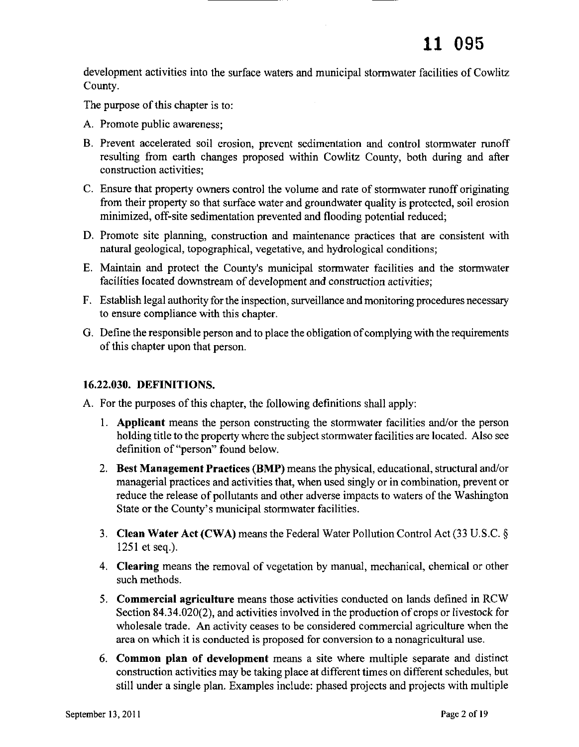development activities into the surface waters and municipal stormwater facilities of Cowlitz County.

The purpose of this chapter is to:

- A. Promote public awareness;
- B. Prevent accelerated soil erosion, prevent sedimentation and control stormwater runoff resulting from earth changes proposed within Cowlitz County, both during and after construction activities;
- C. Ensure that property owners control the volume and rate of stormwater runoff originating from their property so that surface water and groundwater quality is protected, soil erosion minimized, off-site sedimentation prevented and flooding potential reduced;
- D. Promote site planning, construction and maintenance practices that are consistent with natural geological, topographical, vegetative, and hydrological conditions;
- E. Maintain and protect the County's municipal stormwater facilities and the stormwater facilities located downstream of development and construction activities;
- F. Establish legal authority for the inspection, surveillance and monitoring procedures necessary to ensure compliance with this chapter.
- G. Define the responsible person and to place the obligation of complying with the requirements of this chapter upon that person.

#### 16.22.030. DEFINITIONS.

A. For the purposes of this chapter, the following definitions shall apply:

- 1. Applicant means the person constructing the stormwater facilities and/or the person holding title to the property where the subject stormwater facilities are located. Also see definition of "person" found below.
- 2. Best Management Practices (BMP) means the physical, educational, structural and/or managerial practices and activities that, when used singly or in combination, prevent or reduce the release of pollutants and other adverse impacts to waters of the Washington State or the County's municipal stormwater facilities.
- 3. Clean Water Act (CWA) means the Federal Water Pollution Control Act (33 U.S.C. § 1251 et seq.).
- 4. Clearing means the removal of vegetation by manual, mechanical, chemical or other such methods.
- 5. Commercial agriculture means those activities conducted on lands defined in RCW Section  $84.34.020(2)$ , and activities involved in the production of crops or livestock for wholesale trade. An activity ceases to be considered commercial agriculture when the area on which it is conducted is proposed for conversion to a nonagricultural use.
- 6. Common **plan** of development means a site where multiple separate and distinct construction activities may be taking place at different times on different schedules, but still under a single plan. Examples include: phased projects and projects with multiple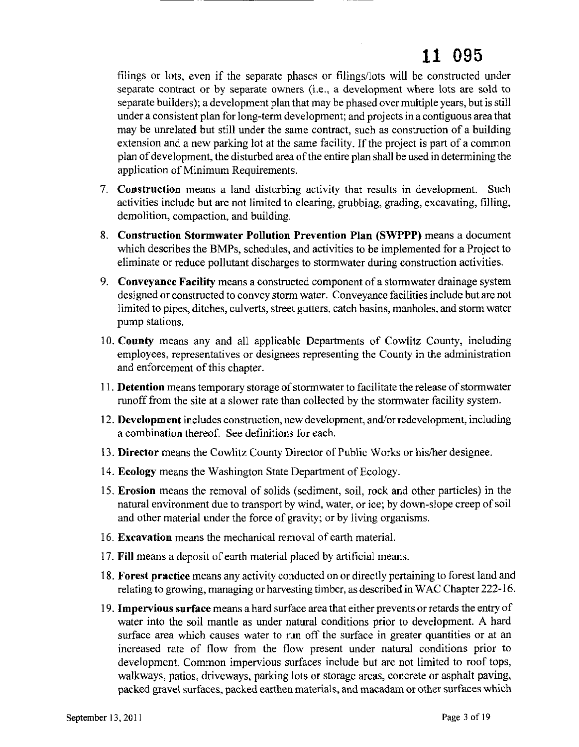filings or lots, even if the separate phases or filings/lots will be constructed under separate contract or by separate owners (i.e., a development where lots are sold to separate builders); a development plan that may be phased over multiple years, but is still under a consistent plan for long-term development; and projects in a contiguous area that may be unrelated but still under the same contract, such as construction of a building extension and a new parking lot at the same facility. If the project is part of a common plan of development, the disturbed area of the entire plan shall be used in determining the application of Minimum Requirements.

- 7. **Construction** means a land disturbing activity that results in development. Such activities include but are not limited to clearing, grubbing, grading, excavating, filling, demolition, compaction, and building.
- 8. **Construction Stormwater Pollution Prevention Plan (SWPPP)** means a document which describes the BMPs, schedules, and activities to be implemented for a Project to eliminate or reduce pollutant discharges to stormwater during construction activities.
- 9. **Conveyance Facility** means a constructed component of a stormwater drainage system designed or constructed to convey storm water. Conveyance facilities include but are not limited to pipes, ditches, culverts, street gutters, catch basins, manholes, and storm water pump stations.
- 10. **County** means any and all applicable Departments of Cowlitz County, including employees, representatives or designees representing the County in the administration and enforcement of this chapter.
- 11. Detention means temporary storage of stormwater to facilitate the release of stormwater runoff from the site at a slower rate than collected by the stormwater facility system.
- 12. **Development** includes construction, new development, and/or redevelopment, including a combination thereof. See definitions for each.
- 13. **Director** means the Cowlitz County Director of Public Works or his/her designee.
- 14. **Ecology** means the Washington State Department of Ecology.
- 15. **Erosion** means the removal of solids (sediment, soil, rock and other particles) in the natural environment due to transport by wind, water, or ice; by down-slope creep of soil and other material under the force of gravity; or by living organisms.
- 16. **Excavation** means the mechanical removal of earth material.
- 17. **Fill** means a deposit of earth material placed by artificial means.
- 18. **Forest practice** means any activity conducted on or directly pertaining to forest land and relating to growing, managing or harvesting timber, as described in WAC Chapter 222-16.
- 19. **Impervious surface** means a hard surface area that either prevents or retards the entry of water into the soil mantle as under natural conditions prior to development. A hard surface area which causes water to run off the surface in greater quantities or at an increased rate of flow from the flow present under natural conditions prior to development. Common impervious surfaces include but are not limited to roof tops, walkways, patios, driveways, parking lots or storage areas, concrete or asphalt paving, packed gravel surfaces, packed earthen materials, and macadam or other surfaces which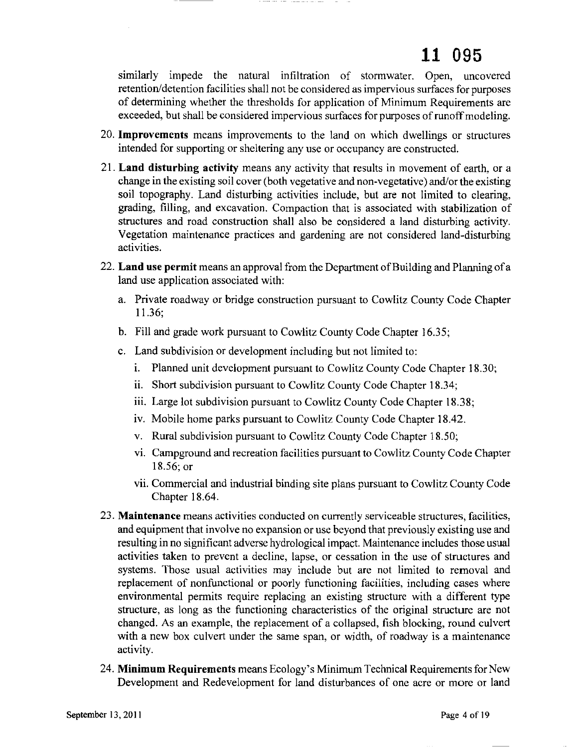similarly impede the natural infiltration of stormwater. Open, uncovered retention/detention facilities shall not be considered as impervious surfaces for purposes of determining whether the thresholds for application of Minimum Requirements are exceeded, but shall be considered impervious surfaces for purposes of runoff modeling.

- 20. **Improvements** means improvements to the land on which dwellings or structures intended for supporting or sheltering any use or occupancy are constructed.
- 21. **Land disturbing activity** means any activity that results in movement of earth, or a change in the existing soil cover (both vegetative and non-vegetative) and/or the existing soil topography. Land disturbing activities include, but are not limited to clearing, grading, filling, and excavation. Compaction that is associated with stabilization of structures and road construction shall also be considered a land disturbing activity. Vegetation maintenance practices and gardening are not considered land-disturbing activities.
- 22. **Land use permit** means an approval from the Department of Building and Planning of a land use application associated with:
	- a. Private roadway or bridge construction pursuant to Cowlitz County Code Chapter 11.36;
	- b. Fill and grade work pursuant to Cowlitz County Code Chapter 16.35;
	- c. Land subdivision or development including but not limited to:
		- i. Planned unit development pursuant to Cowlitz County Code Chapter 18.30;
		- ii. Short subdivision pursuant to Cowlitz County Code Chapter 18.34;
		- iii. Large lot subdivision pursuant to Cowlitz County Code Chapter 18.38;
		- iv. Mobile home parks pursuant to Cowlitz County Code Chapter 18.42.
		- v. Rural subdivision pursuant to Cowlitz County Code Chapter 18.50;
		- vi. Campground and recreation facilities pursuant to Cowlitz County Code Chapter 18.56; or
		- vii. Commercial and industrial binding site plans pursuant to Cowlitz County Code Chapter 18.64.
- 23. **Maintenance** means activities conducted on currently serviceable structures, facilities, and equipment that involve no expansion or use beyond that previously existing use and resulting in no significant adverse hydrological impact. Maintenance includes those usual activities taken to prevent a decline, lapse, or cessation in the use of structures and systems. Those usual activities may include but are not limited to removal and replacement of nonfunctional or poorly functioning facilities, including cases where environmental permits require replacing an existing structure with a different type structure, as long as the functioning characteristics of the original structure are not changed. As an example, the replacement of a collapsed, fish blocking, round culvert with a new box culvert under the same span, or width, of roadway is a maintenance activity.
- 24. **Minimum Requirements** means Ecology's Minimum Technical Requirements for New Development and Redevelopment for land disturbances of one acre or more or land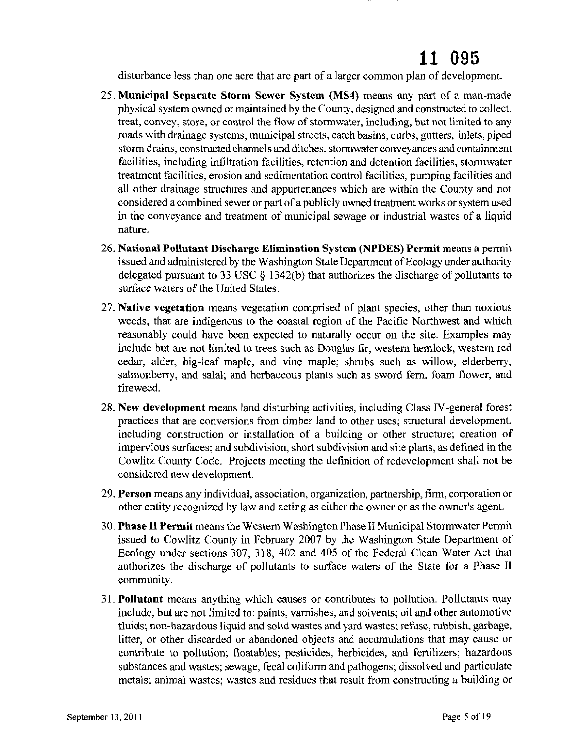disturbance less than one acre that are part of a larger common plan of development.

- 25. Municipal Separate Storm Sewer System (MS4) means any part of a man-made physical system owned or maintained by the County, designed and constructed to collect, treat, convey, store, or control the flow of stormwater, including, but not limited to any roads with drainage systems, municipal streets, catch basins, curbs, gutters, inlets, piped storm drains, constructed channels and ditches, stormwater conveyances and containment facilities, including infiltration facilities, retention and detention facilities, stormwater treatment facilities, erosion and sedimentation control facilities, pumping facilities and all other drainage structures and appurtenances which are within the County and not considered a combined sewer or part ofa publicly owned treatment works orsystem used in the conveyance and treatment of municipal sewage or industrial wastes of a liquid nature.
- 26. National Pollutant Discharge Elimination System (NPDES) Permit means a permit issued and administered by the Washington State Department of Ecology under authority delegated pursuant to 33 USC § 1342(b) that authorizes the discharge of pollutants to surface waters of the United States.
- 27. Native vegetation means vegetation comprised of plant species, other than noxious weeds, that are indigenous to the coastal region of the Pacific Northwest and which reasonably could have been expected to naturally occur on the site. Examples may include but are not limited to trees such as Douglas fir, western hemlock, western red cedar, alder, big-leaf maple, and vine maple; shrubs such as willow, elderberry, salmonberry, and salal; and herbaceous plants such as sword fern, foam flower, and fireweed.
- 28. New development means land disturbing activities, including Class IV-general forest practices that are conversions from timber land to other uses; structural development, including construction or installation of a building or other structure; creation of impervious surfaces; and subdivision, short subdivision and site plans, as defined in the Cowlitz County Code. Projects meeting the definition of redevelopment shall not be considered new development.
- 29. Person means any individual, association, organization, partnership, firm, corporation or other entity recognized by law and acting as either the owner or as the owner's agent.
- 30. Phase II Permit means the Western Washington Phase II Municipal Stormwater Permit issued to Cowlitz County in February 2007 by the Washington State Department of Ecology under sections 307, 318, 402 and 405 of the Federal Clean Water Act that authorizes the discharge of pollutants to surface waters of the State for a Phase II community.
- 31. Pollutant means anything which causes or contributes to pollution. Pollutants may include, but are not limited to: paints, varnishes, and solvents; oil and other automotive fluids; non-hazardous liquid and solid wastes and yard wastes; refuse, rubbish, garbage, litter, or other discarded or abandoned objects and accumulations that may cause or contribute to pollution; floatables; pesticides, herbicides, and fertilizers; hazardous substances and wastes; sewage, fecal coliform and pathogens; dissolved and particulate metals; animal wastes; wastes and residues that result from constructing a building or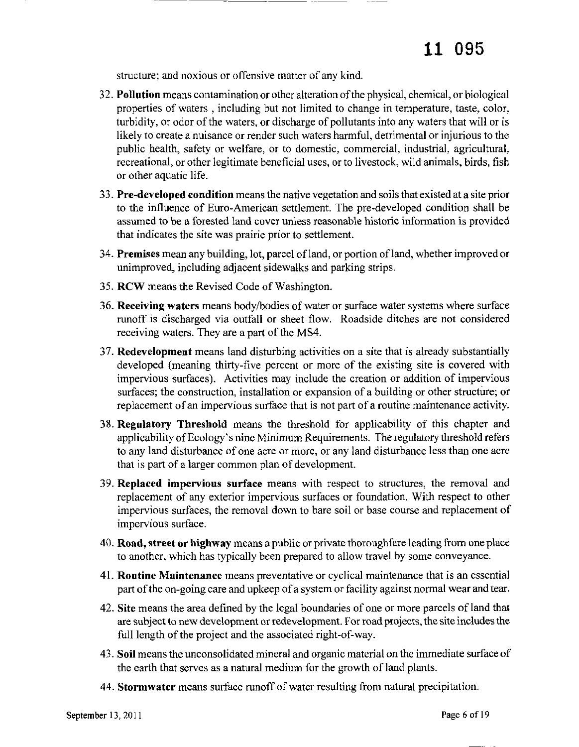structure; and noxious or offensive matter of any kind.

--.\_-\_.\_-------

- 32. **Pollution** means contamination or other alteration of the physical, chemical, or biological properties of waters, including but not limited to change in temperature, taste, color, turbidity, or odor of the waters, or discharge of pollutants into any waters that will or is likely to create a nuisance or render such waters harmful, detrimental or injurious to the public health, safety or welfare, or to domestic, commercial, industrial, agricultural, recreational, or other legitimate beneficial uses, or to livestock, wild animals, birds, fish or other aquatic life.
- 33. **Pre-developed condition** means the native vegetation and soilsthat existed at a site prior to the influence of Euro-American settlement. The pre-developed condition shall be assumed to be a forested land cover unless reasonable historic information is provided that indicates the site was prairie prior to settlement.
- 34. **Premises** mean any building, lot, parcel ofland, or portion ofland, whether improved or unimproved, including adjacent sidewalks and parking strips.
- 35. **RCW** means the Revised Code of Washington.
- 36. **Receiving waters** means body/bodies of water or surface water systems where surface runoff is discharged via outfall or sheet flow. Roadside ditches are not considered receiving waters. They are a part of the MS4.
- 37. **Redevelopment** means land disturbing activities on a site that is already substantially developed (meaning thirty-five percent or more of the existing site is covered with impervious surfaces). Activities may include the creation or addition of impervious surfaces; the construction, installation or expansion of a building or other structure; or replacement of an impervious surface that is not part of a routine maintenance activity.
- 38. **Regulatory Threshold** means the threshold for applicability of this chapter and applicability of Ecology's nine Minimum Requirements. The regulatory threshold refers to any land disturbance of one acre or more, or any land disturbance less than one acre that is part of a larger common plan of development.
- 39. **Replaced impervious surface** means with respect to structures, the removal and replacement of any exterior impervious surfaces or foundation. With respect to other impervious surfaces, the removal down to bare soil or base course and replacement of impervious surface.
- 40. **Road, street or highway** means a public or private thoroughfare leading from one place to another, which has typically been prepared to allow travel by some conveyance.
- 41. **Routine Maintenance** means preventative or cyclical maintenance that is an essential part of the on-going care and upkeep of a system or facility against normal wear and tear.
- 42. **Site** means the area defined by the legal boundaries of one or more parcels ofland that are subject to new development or redevelopment. For road projects, the site includes the full length of the project and the associated right-of-way.
- 43. **Soil** means the unconsolidated mineral and organic material on the immediate surface of the earth that serves as a natural medium for the growth of land plants.
- 44. **Stormwater** means surface runoff of water resulting from natural precipitation.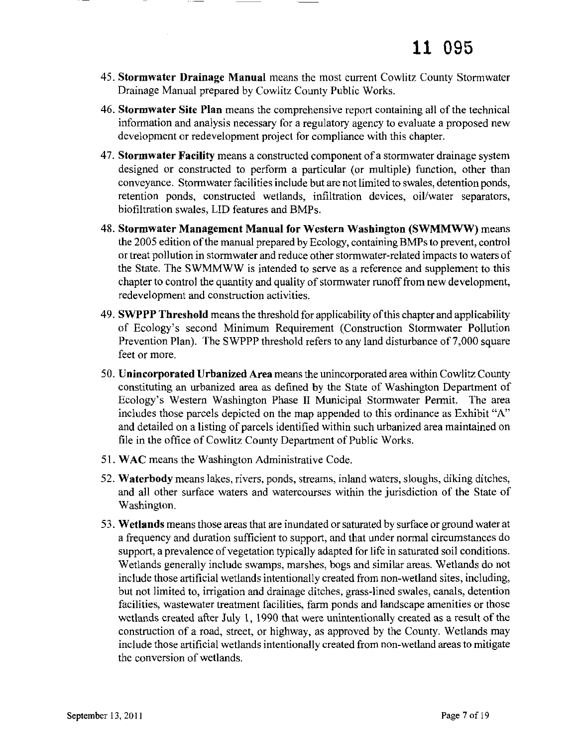- 45. Stormwater Drainage Manual means the most current Cowlitz County Stormwater Drainage Manual prepared by Cowlitz County Public Works.
- 46. Stormwater Site Plan means the comprehensive report containing all ofthe technical information and analysis necessary for a regulatory agency to evaluate a proposed new development or redevelopment project for compliance with this chapter.
- 47. Stormwater Facility means a constructed component ofa stormwater drainage system designed or constructed to perform a particular (or multiple) function, other than conveyance. Stormwater facilities include but are not limited to swales, detention ponds, retention ponds, constructed wetlands, infiltration devices, oil/water separators, biofiltration swales, LID features and BMPs.
- 48. Stormwater Management Manual for Western Washington (SWMMWW) means the 2005 edition of the manual prepared by Ecology, containing BMPs to prevent, control or treat pollution in stormwater and reduce other stormwater-related impacts to waters of the State. The SWMMWW is intended to serve as a reference and supplement to this chapter to control the quantity and quality of stormwater runoff from new development, redevelopment and construction activities.
- 49. SWPPP Threshold means the threshold for applicability of this chapter and applicability of Ecology's second Minimum Requirement (Construction Stonnwater Pollution Prevention Plan). The SWPPP threshold refers to any land disturbance of 7,000 square feet or more.
- 50. Unincorporated Urbanized Area means the unincorporated area within Cowlitz County constituting an urbanized area as defined by the State of Washington Department of Ecology's Western Washington Phase II Municipal Stormwater Permit. The area includes those parcels depicted on the map appended to this ordinance as Exhibit "A" and detailed on a listing of parcels identified within such urbanized area maintained on file in the office of Cowlitz County Department of Public Works.
- 51. WAC means the Washington Administrative Code.
- 52. Waterbody means lakes, rivers, ponds, streams, inland waters, sloughs, diking ditches, and all other surface waters and watercourses within the jurisdiction of the State of Washington.
- 53. Wetlands means those areas that are inundated orsaturated by surface or ground water at a frequency and duration sufficient to support, and that under nonnal circumstances do support, a prevalence of vegetation typically adapted for life in saturated soil conditions. Wetlands generally include swamps, marshes, bogs and similar areas. Wetlands do not include those artificial wetlands intentionally created from non-wetland sites, including, but not limited to, irrigation and drainage ditches, grass-lined swales, canals, detention facilities, wastewater treatment facilities, farm ponds and landscape amenities or those wetlands created after July 1, 1990 that were unintentionally created as a result of the construction of a road, street, or highway, as approved by the County. Wetlands may include those artificial wetlands intentionally created from non-wetland areas to mitigate the conversion of wetlands.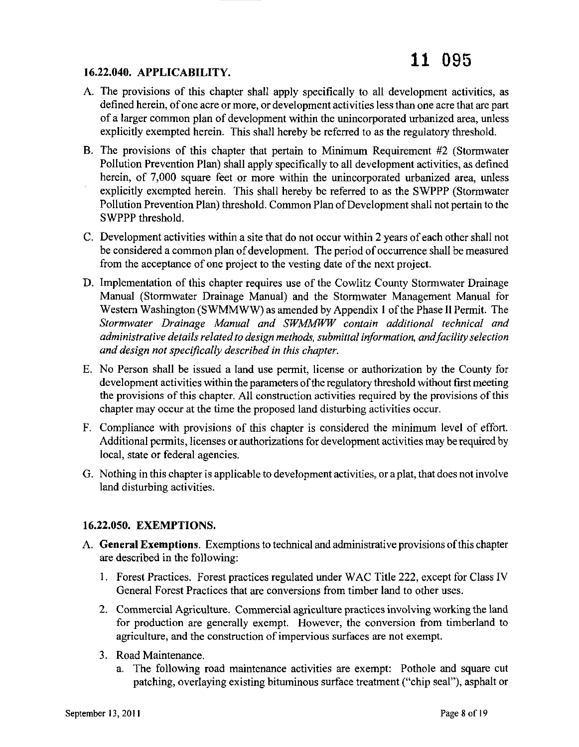#### **16.22.040. APPLICABILITY.**

- A. The provisions of this chapter shall apply specifically to all development activities, as defined herein, of one acre or more, or development activities less than one acre that are part of a larger common plan of development within the unincorporated urbanized area, unless explicitly exempted herein. This shall hereby be referred to as the regulatory threshold.
- B. The provisions of this chapter that pertain to Minimum Requirement #2 (Stormwater Pollution Prevention Plan) shall apply specifically to all development activities, as defined herein, of 7,000 square feet or more within the unincorporated urbanized area, unless explicitly exempted herein. This shall hereby be referred to as the SWPPP (Stormwater Pollution Prevention Plan) threshold. Common Plan of Development shall not pertain to the SWPPP threshold.
- C. Development activities within a site that do not occur within 2 years of each other shall not be considered a common plan of development. The period of occurrence shall be measured from the acceptance of one project to the vesting date of the next project.
- D. Implementation of this chapter requires use of the Cowlitz County Stormwater Drainage Manual (Stormwater Drainage Manual) and the Stormwater Management Manual for Western Washington (SWMMWW) as amended by Appendix 1 of the Phase II Permit. The *Stormwater Drainage Manual and SWMMWW contain additional technical and administrative details related to design methods, submittal information, andfacility selection and design not specifically described in this chapter.*
- E. No Person shall be issued a land use permit, license or authorization by the County for development activities within the parameters of the regulatory threshold without first meeting the provisions of this chapter. All construction activities required by the provisions of this chapter may occur at the time the proposed land disturbing activities occur.
- F. Compliance with provisions of this chapter is considered the minimum level of effort. Additional permits, licenses or authorizations for development activities may be required by local, state or federal agencies.
- G. Nothing in this chapter is applicable to development activities, or a plat, that does not involve land disturbing activities.

#### **16.22.050. EXEMPTIONS.**

- A. **General Exemptions.** Exemptions to technical and administrative provisions ofthis chapter are described in the following:
	- I. Forest Practices. Forest practices regulated under WAC Title 222, except for Class IV General Forest Practices that are conversions from timber land to other uses.
	- 2. Commercial Agriculture. Commercial agriculture practices involving working the land for production are generally exempt. However, the conversion from timberland to agriculture, and the construction of impervious surfaces are not exempt.
	- 3. Road Maintenance.
		- a. The following road maintenance activities are exempt: Pothole and square cut patching, overlaying existing bituminous surface treatment ("chip seal"), asphalt or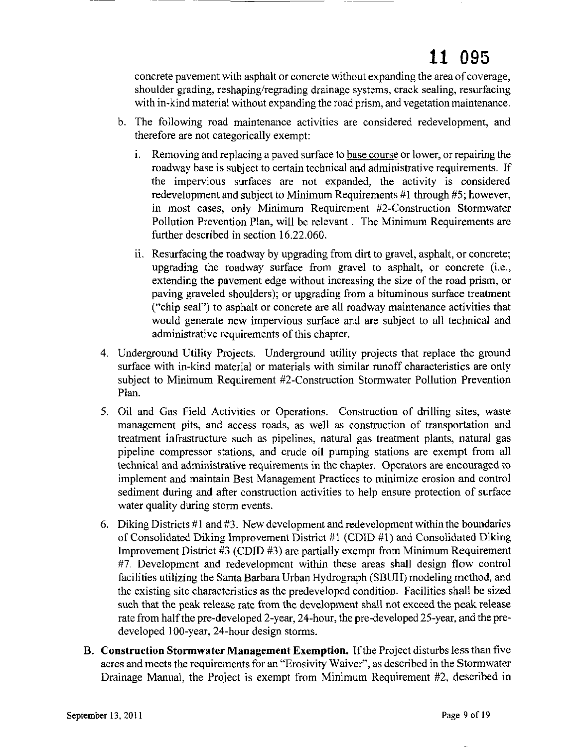concrete pavement with asphalt or concrete without expanding the area of coverage, shoulder grading, reshaping/regrading drainage systems, crack sealing, resurfacing with in-kind material without expanding the road prism, and vegetation maintenance.

- b. The following road maintenance activities are considered redevelopment, and therefore are not categorically exempt:
	- i. Removing and replacing a paved surface to base course or lower, or repairing the roadway base is subject to certain technical and administrative requirements. If the impervious surfaces are not expanded, the activity is considered redevelopment and subject to Minimum Requirements #1 through #5; however, in most cases, only Minimum Requirement #2-Construction Stormwater Pollution Prevention Plan, will be relevant. The Minimum Requirements are further described in section 16.22.060.
	- ii. Resurfacing the roadway by upgrading from dirt to gravel, asphalt, or concrete; upgrading the roadway surface from gravel to asphalt, or concrete (i.e., extending the pavement edge without increasing the size of the road prism, or paving graveled shoulders); or upgrading from a bituminous surface treatment ("chip seal") to asphalt or concrete are all roadway maintenance activities that would generate new impervious surface and are subject to all technical and administrative requirements of this chapter.
- 4. Underground Utility Projects. Underground utility projects that replace the ground surface with in-kind material or materials with similar runoff characteristics are only subject to Minimum Requirement #2-Construction Stormwater Pollution Prevention Plan.
- 5. Oil and Gas Field Activities or Operations. Construction of drilling sites, waste management pits, and access roads, as well as construction of transportation and treatment infrastructure such as pipelines, natural gas treatment plants, natural gas pipeline compressor stations, and crude oil pumping stations are exempt from all technical and administrative requirements in the chapter. Operators are encouraged to implement and maintain Best Management Practices to minimize erosion and control sediment during and after construction activities to help ensure protection of surface water quality during storm events.
- 6. Diking Districts  $#1$  and  $#3$ . New development and redevelopment within the boundaries of Consolidated Diking Improvement District #1 (CDID #1) and Consolidated Diking Improvement District  $#3$  (CDID  $#3$ ) are partially exempt from Minimum Requirement #7. Development and redevelopment within these areas shall design flow control facilities utilizing the Santa Barbara Urban Hydrograph (SBUH) modeling method, and the existing site characteristics as the predeveloped condition. Facilities shall be sized such that the peak release rate from the development shall not exceed the peak release rate from half the pre-developed 2-year, 24-hour, the pre-developed 25-year, and the predeveloped IDO-year, 24-hour design storms.
- B. **Construction Stormwater Management Exemption.** Ifthe Project disturbs less than five acres and meets the requirements for an "Erosivity Waiver", as described in the Stormwater Drainage Manual, the Project is exempt from Minimum Requirement #2, described in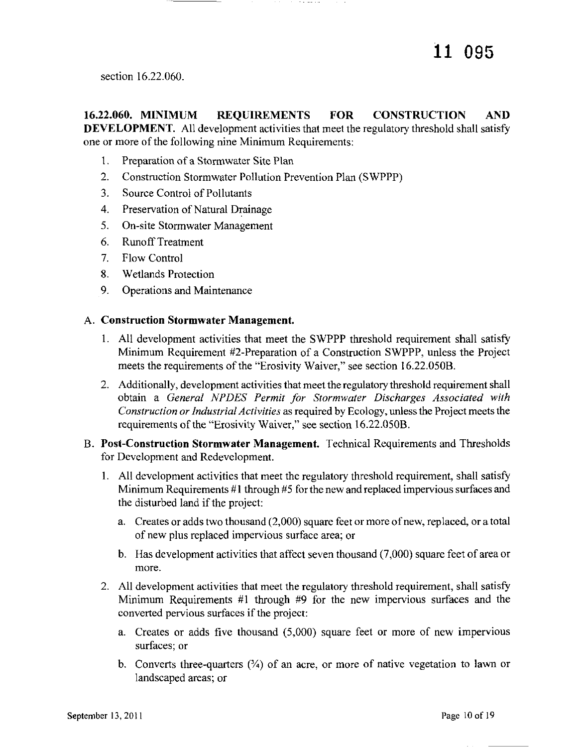section 16.22.060.

**16.22.060. MINIMUM REQUIREMENTS FOR CONSTRUCTION AND DEVELOPMENT.** All development activities that meet the regulatory threshold shall satisfy one or more of the following nine Minimum Requirements:

- 1. Preparation of a Stormwater Site Plan
- 2. Construction Stormwater Pollution Prevention Plan (SWPPP)
- 3. Source Control of Pollutants
- 4. Preservation of Natural Drainage
- 5. On-site Stormwater Management
- 6. RunoffTreatment
- 7. Flow Control
- 8. Wetlands Protection
- 9. Operations and Maintenance

#### A. **Construction Stormwater Management.**

- 1. All development activities that meet the SWPPP threshold requirement shall satisfy Minimum Requirement #2-Preparation of a Construction SWPPP, unless the Project meets the requirements of the "Erosivity Waiver," see section 16.22.050B.
- 2. Additionally, development activities that meet the regulatory threshold requirement shall obtain a *General NPDES Permit for Stormwater Discharges Associated with Construction or Industrial Activities* as required by Ecology, unlessthe Project meets the requirements of the "Erosivity Waiver," see section 16.22.050B.
- B. **Post-Construction Stormwater Management.** Technical Requirements and Thresholds for Development and Redevelopment.
	- I. All development activities that meet the regulatory threshold requirement, shall satisfy Minimum Requirements  $#1$  through  $#5$  for the new and replaced impervious surfaces and the disturbed land if the project:
		- a. Creates or adds two thousand (2,000) square feet or more ofnew, replaced, or a total of new plus replaced impervious surface area; or
		- b. Has development activities that affect seven thousand (7,000) square feet of area or more.
	- 2. All development activities that meet the regulatory threshold requirement, shall satisfy Minimum Requirements #1 through #9 for the new impervious surfaces and the converted pervious surfaces if the project:
		- a. Creates or adds five thousand (5,000) square feet or more of new impervious surfaces; or
		- b. Converts three-quarters  $(34)$  of an acre, or more of native vegetation to lawn or landscaped areas; or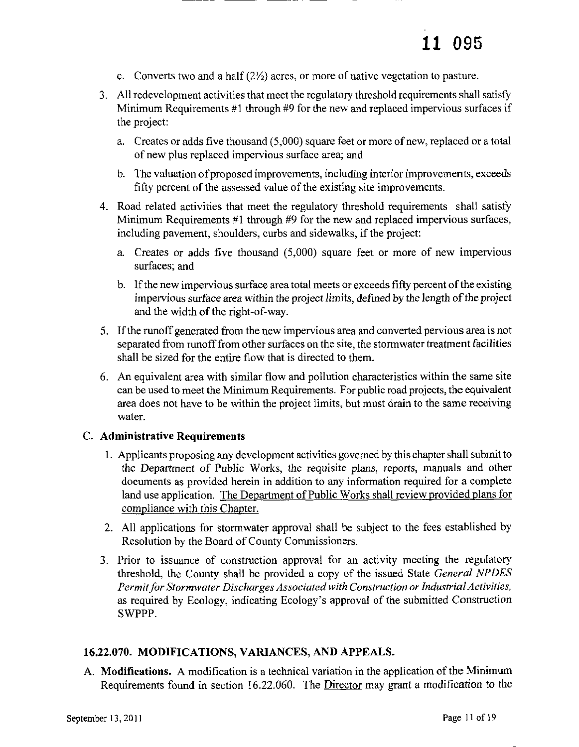- c. Converts two and a half  $(2\frac{1}{2})$  acres, or more of native vegetation to pasture.
- 3. All redevelopment activities that meet the regulatory threshold requirements shall satisfy Minimum Requirements #1 through #9 for the new and replaced impervious surfaces if the project:
	- a. Creates or adds five thousand (5,000) square feet or more of new, replaced or a total of new plus replaced impervious surface area; and
	- b. The valuation of proposed improvements, including interior improvements, exceeds fifty percent of the assessed value of the existing site improvements.
- 4. Road related activities that meet the regulatory threshold requirements shall satisfy Minimum Requirements #1 through #9 for the new and replaced impervious surfaces, including pavement, shoulders, curbs and sidewalks, if the project:
	- a. Creates or adds five thousand (5,000) square feet or more of new impervious surfaces; and
	- b. If the new impervious surface area total meets or exceeds fifty percent of the existing impervious surface area within the project limits, defined by the length ofthe project and the width of the right-of-way.
- 5. Ifthe runoff generated from the new impervious area and converted pervious area is not separated from runoff from other surfaces on the site, the stormwater treatment facilities shall be sized for the entire flow that is directed to them.
- 6. An equivalent area with similar flow and pollution characteristics within the same site can be used to meet the Minimum Requirements. For public road projects, the equivalent area does not have to be within the project limits, but must drain to the same receiving water.

#### C. Administrative Requirements

- I. Applicants proposing any development activities governed by this chaptershall submit to the Department of Public Works, the requisite plans, reports, manuals and other documents as provided herein in addition to any information required for a complete land use application. The Department of Public Works shall review provided plans for compliance with this Chapter.
- 2. All applications for stormwater approval shall be subject to the fees established by Resolution by the Board of County Commissioners.
- 3. Prior to issuance of construction approval for an activity meeting the regulatory threshold, the County shall be provided a copy of the issued State *General NPDES Permit/or Stormwater Discharges Associatedwith Construction orIndustrial Activities,* as required by Ecology, indicating Ecology's approval of the submitted Construction SWPPP.

#### 16.22.070. MODIFICATIONS, VARIANCES, AND APPEALS.

A. Modifications. A modification is a technical variation in the application of the Minimum Requirements found in section 16.22.060. The Director may grant a modification to the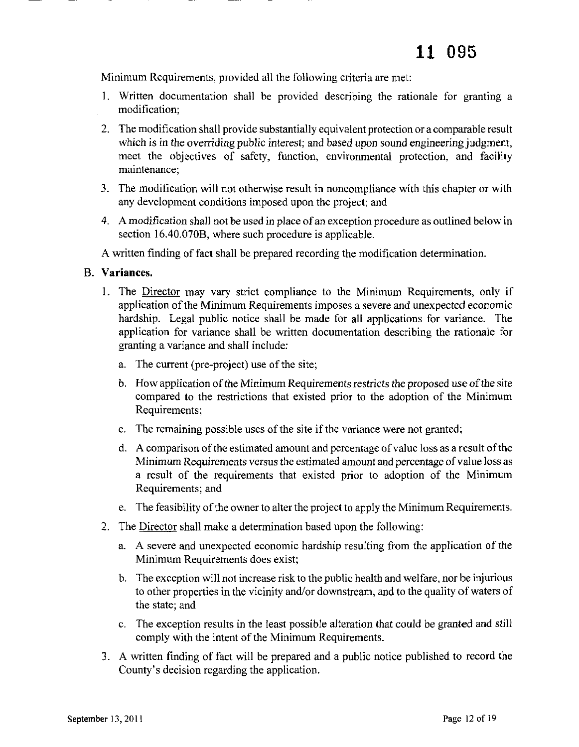Minimum Requirements, provided all the following criteria are met:

- I. Written documentation shall be provided describing the rationale for granting a modification;
- 2. The modification shall provide substantially equivalent protection or a comparable result which is in the overriding public interest; and based upon sound engineering judgment, meet the objectives of safety, function, environmental protection, and facility maintenance;
- 3. The modification will not otherwise result in noncompliance with this chapter or with any development conditions imposed upon the project; and
- 4. A modification shall not be used in place of an exception procedure as outlined below in section 16.40.070B, where such procedure is applicable.

A written finding of fact shall be prepared recording the modification determination.

#### B. Variances.

- 1. The Director may vary strict compliance to the Minimum Requirements, only if application of the Minimum Requirements imposes a severe and unexpected economic hardship. Legal public notice shall be made for all applications for variance. The application for variance shall be written documentation describing the rationale for granting a variance and shall include:
	- a. The current (pre-project) use of the site;
	- b. How application of the Minimum Requirements restricts the proposed use of the site compared to the restrictions that existed prior to the adoption of the Minimum Requirements;
	- c. The remaining possible uses of the site if the variance were not granted;
	- d. A comparison ofthe estimated amount and percentage ofvalue loss as a result ofthe Minimum Requirements versus the estimated amount and percentage of value loss as a result of the requirements that existed prior to adoption of the Minimum Requirements; and
	- e. The feasibility of the owner to alter the project to apply the Minimum Requirements.
- 2. The Director shall make a determination based upon the following:
	- a. A severe and unexpected economic hardship resulting from the application of the Minimum Requirements does exist;
	- b. The exception will not increase risk to the public health and welfare, nor be injurious to other properties in the vicinity and/or downstream, and to the quality of waters of the state; and
	- c. The exception results in the least possible alteration that could be granted and still comply with the intent of the Minimum Requirements.
- 3. A written finding of fact will be prepared and a public notice published to record the County's decision regarding the application.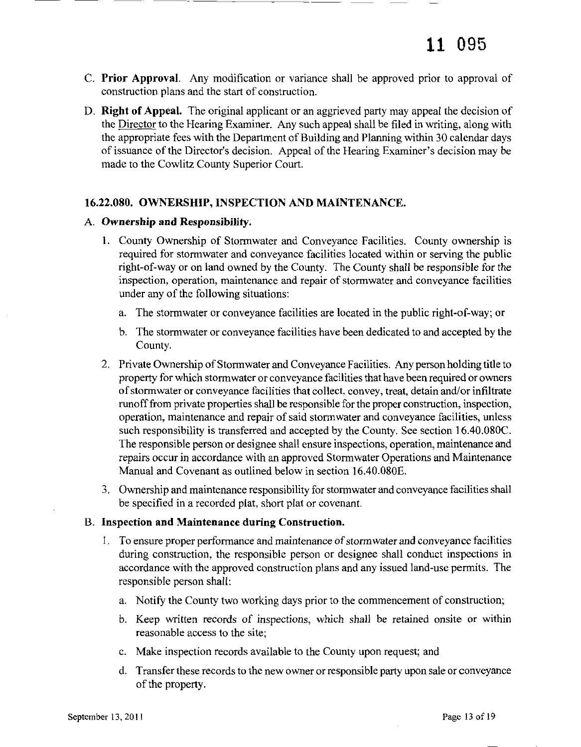- C. Prior Approval. Any modification or variance shall be approved prior to approval of construction plans and the start of construction.
- D. Right of Appeal. The original applicant or an aggrieved party may appeal the decision of the Director to the Hearing Examiner. Any such appeal shall be filed in writing, along with the appropriate fees with the Department of Building and Planning within 30 calendar days of issuance of the Director's decision. Appeal of the Hearing Examiner's decision may be made to the Cowlitz County Superior Court.

#### 16.22.080. OWNERSHIP, INSPECTION AND MAINTENANCE.

#### A. Ownership and Responsibility.

- 1. County Ownership of Stormwater and Conveyance Facilities. County ownership is required for stormwater and conveyance facilities located within or serving the public right-of-way or on land owned by the County. The County shall be responsible for the inspection, operation, maintenance and repair of stormwater and conveyance facilities under any of the following situations:
	- a. The stormwater or conveyance facilities are located in the public right-of-way; or
	- b. The stormwater or conveyance facilities have been dedicated to and accepted by the County.
- 2. Private Ownership of Stormwater and Conveyance Facilities. Any person holding title to property for which stormwater or conveyance facilities that have been required or owners of stormwater or conveyance facilities that collect, convey, treat, detain and/or infiltrate runofffrom private properties shall be responsible for the proper construction, inspection, operation, maintenance and repair of said stormwater and conveyance facilities, unless such responsibility is transferred and accepted by the County. See section 16.40.080C. The responsible person or designee shall ensure inspections, operation, maintenance and repairs occur in accordance with an approved Stormwater Operations and Maintenance Manual and Covenant as outlined below in section 16.40.080E.
- 3. Ownership and maintenance responsibility for stormwater and conveyance facilities shall be specified in a recorded plat, short plat or covenant.

#### B. Inspection and Maintenance during Construction.

- 1. To ensure proper performance and maintenance of stormwater and conveyance facilities during construction, the responsible person or designee shall conduct inspections in accordance with the approved construction plans and any issued land-use permits. The responsible person shall:
	- a. Notify the County two working days prior to the commencement of construction;
	- b. Keep written records of inspections, which shall be retained onsite or within reasonable access to the site;
	- c. Make inspection records available to the County upon request; and
	- d. Transfer these records to the new owner or responsible party upon sale or conveyance of the property.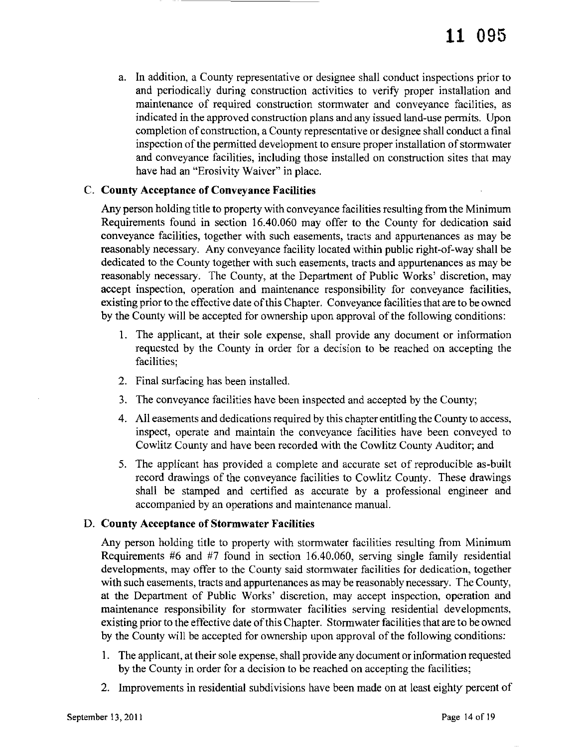a. In addition, a County representative or designee shall conduct inspections prior to and periodically during construction activities to verify proper installation and maintenance of required construction stormwater and conveyance facilities, as indicated in the approved construction plans and any issued land-use permits. Upon completion ofconstruction, a County representative or designee shall conduct a final inspection of the permitted development to ensure proper installation of stormwater and conveyance facilities, including those installed on construction sites that may have had an "Erosivity Waiver" in place.

#### C. County Acceptance of Conveyance Facilities

Any person holding title to property with conveyance facilities resulting from the Minimum Requirements found in section 16.40.060 may offer to the County for dedication said conveyance facilities, together with such easements, tracts and appurtenances as may be reasonably necessary. Any conveyance facility located within public right-of-way shall be dedicated to the County together with such easements, tracts and appurtenances as may be reasonably necessary. The County, at the Department of Public Works' discretion, may accept inspection, operation and maintenance responsibility for conveyance facilities, existing prior to the effective date of this Chapter. Conveyance facilities that are to be owned by the County will be accepted for ownership upon approval of the following conditions:

- 1. The applicant, at their sole expense, shall provide any document or information requested by the County in order for a decision to be reached on accepting the facilities;
- 2. Final surfacing has been installed.
- 3. The conveyance facilities have been inspected and accepted by the County;
- 4. All easements and dedications required by this chapter entitling the County to access, inspect, operate and maintain the conveyance facilities have been conveyed to Cowlitz County and have been recorded with the Cowlitz County Auditor; and
- 5. The applicant has provided a complete and accurate set of reproducible as-built record drawings of the conveyance facilities to Cowlitz County. These drawings shall be stamped and certified as accurate by a professional engineer and accompanied by an operations and maintenance manual.

#### D. County Acceptance of Stormwater Facilities

Any person holding title to property with stormwater facilities resulting from Minimum Requirements #6 and #7 found in section 16.40.060, serving single family residential developments, may offer to the County said stormwater facilities for dedication, together with such easements, tracts and appurtenances as may be reasonably necessary. The County, at the Department of Public Works' discretion, may accept inspection, operation and maintenance responsibility for stormwater facilities serving residential developments, existing prior to the effective date of this Chapter. Stormwater facilities that are to be owned by the County will be accepted for ownership upon approval of the following conditions:

- 1. The applicant, at their sole expense, shall provide any document or information requested by the County in order for a decision to be reached on accepting the facilities;
- 2. Improvements in residential subdivisions have been made on at least eighty percent of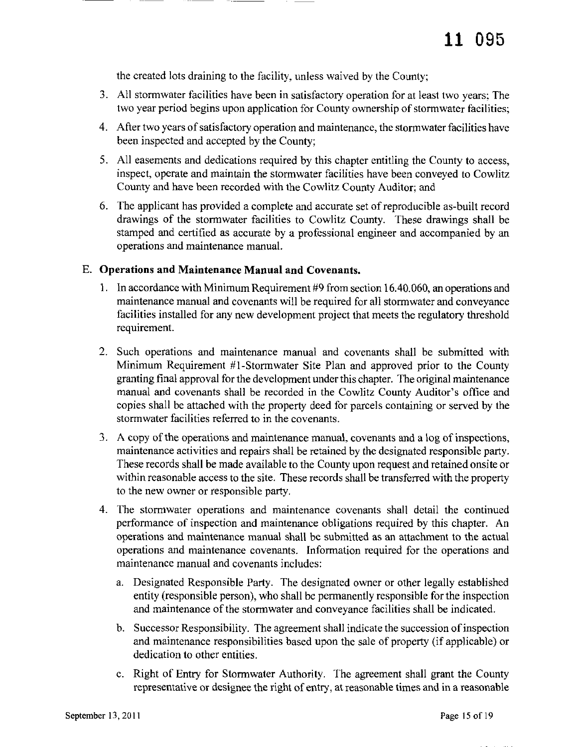the created lots draining to the facility, unless waived by the County;

- 3. All stormwater facilities have been in satisfactory operation for at least two years; The two year period begins upon application for County ownership of stormwater facilities;
- 4. After two years of satisfactory operation and maintenance, the stormwater facilities have been inspected and accepted by the County;
- 5. All easements and dedications required by this chapter entitling the County to access, inspect, operate and maintain the stormwater facilities have been conveyed to Cowlitz County and have been recorded with the Cowlitz County Auditor; and
- 6. The applicant has provided a complete and accurate set ofreproducible as-built record drawings of the stormwater facilities to Cowlitz County. These drawings shall be stamped and certified as accurate by a professional engineer and accompanied by an operations and maintenance manual.

#### E. Operations and Maintenance Manual and Covenants.

- 1. 1n accordance with Minimum Requirement #9 from section 16.40.060, an operations and maintenance manual and covenants will be required for all stormwater and conveyance facilities installed for any new development project that meets the regulatory threshold requirement.
- 2. Such operations and maintenance manual and covenants shall be submitted with Minimum Requirement #l-Stormwater Site Plan and approved prior to the County granting final approval for the development under this chapter. The original maintenance manual and covenants shall be recorded in the Cowlitz County Auditor's office and copies shall be attached with the property deed for parcels containing or served by the stormwater facilities referred to in the covenants.
- 3. A copy of the operations and maintenance manual, covenants and a log of inspections, maintenance activities and repairs shall be retained by the designated responsible party. These records shall be made available to the County upon request and retained onsite or within reasonable access to the site. These records shall be transferred with the property to the new owner or responsible party.
- 4. The stormwater operations and maintenance covenants shall detail the continued performance of inspection and maintenance obligations required by this chapter. An operations and maintenance manual shall be submitted as an attachment to the actual operations and maintenance covenants. Information required for the operations and maintenance manual and covenants includes:
	- a. Designated Responsible Party. The designated owner or other legally established entity (responsible person), who shall be permanently responsible for the inspection and maintenance of the stormwater and conveyance facilities shall be indicated.
	- b. Successor Responsibility. The agreement shall indicate the succession ofinspection and maintenance responsibilities based upon the sale of property (if applicable) or dedication to other entities.
	- c. Right of Entry for Stormwater Authority. The agreement shall grant the County representative or designee the right of entry, at reasonable times and in a reasonable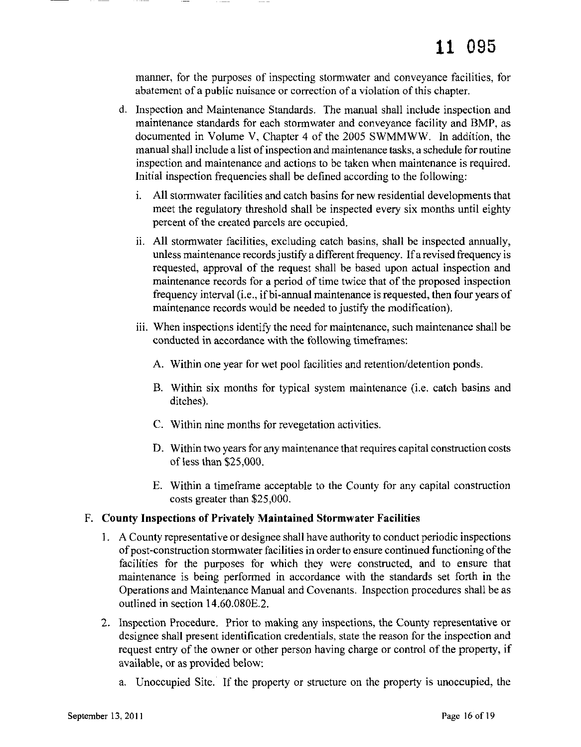manner, for the purposes of inspecting stormwater and conveyance facilities, for abatement of a public nuisance or correction of a violation of this chapter.

- d. Inspection and Maintenance Standards. The manual shall include inspection and maintenance standards for each stormwater and conveyance facility and BMP, as documented in Volume V, Chapter 4 of the 2005 SWMMWW. In addition, the manual shall include a list of inspection and maintenance tasks, a schedule for routine inspection and maintenance and actions to be taken when maintenance is required. Initial inspection frequencies shall be defined according to the following:
	- I. All stormwater facilities and catch basins for new residential developments that meet the regulatory threshold shall be inspected every six months until eighty percent of the created parcels are occupied.
	- ii. All stormwater facilities, excluding catch basins, shall be inspected annually, unless maintenance records justify a different frequency. If a revised frequency is requested, approval of the request shall be based upon actual inspection and maintenance records for a period of time twice that of the proposed inspection frequency interval (i.e., ifbi-annual maintenance is requested, then four years of maintenance records would be needed to justify the modification).
	- iii. When inspections identify the need for maintenance, such maintenance shall be conducted in accordance with the following timeframes:
		- A. Within one year for wet pool facilities and retention/detention ponds.
		- B. Within six months for typical system maintenance (i.e. catch basins and ditches).
		- C. Within nine months for revegetation activities.
		- D. Within two years for any maintenance that requires capital construction costs of less than \$25,000.
		- E. Within a timeframe acceptable to the County for any capital construction costs greater than \$25,000.

#### F. **County Inspections of Privately Maintained Stormwater Facilities**

- 1. A County representative or designee shall have authority to conduct periodic inspections ofpost-construction stormwater facilities in order to ensure continued functioning ofthe facilities for the purposes for which they were constructed, and to ensure that maintenance is being performed in accordance with the standards set forth in the Operations and Maintenance Manual and Covenants. Inspection procedures shall be as outlined in section 14.60.080E.2.
- 2. Inspection Procedure. Prior to making any inspections, the County representative or designee shall present identification credentials, state the reason for the inspection and request entry of the owner or other person having charge or control of the property, if available, or as provided below:
	- a. Unoccupied Site. If the property or structure on the property is unoccupied, the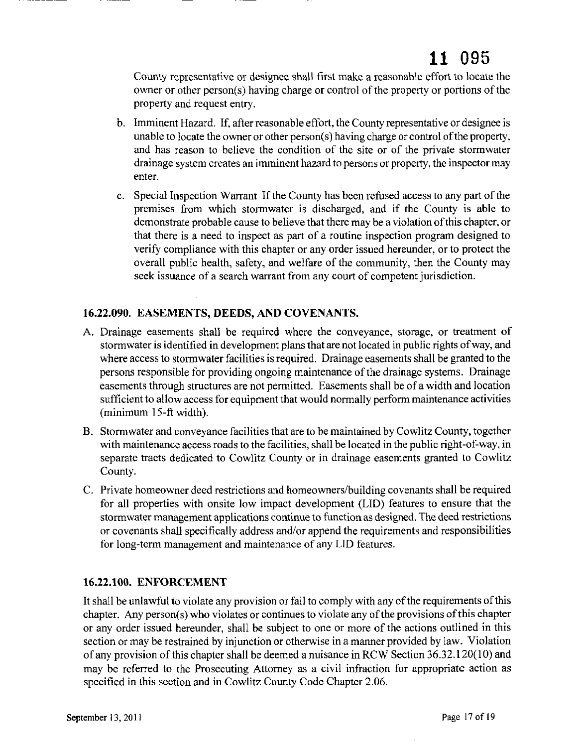County representative or designee shall first make a reasonable effort to locate the owner or other person(s) having charge or control of the property or portions of the property and request entry.

- b. Imminent Hazard. If, after reasonable effort, the County representative or designee is unable to locate the owner or other person(s) having charge or control of the property, and has reason to believe the condition of the site or of the private stormwater drainage system creates an imminent hazard to persons or property, the inspector may enter.
- c. Special Inspection Warrant If the County has been refused access to any part of the premises from which stormwater is discharged, and if the County is able to demonstrate probable cause to believe that there may be a violation ofthis chapter, or that there is a need to inspect as part of a routine inspection program designed to verify compliance with this chapter or any order issued hereunder, or to protect the overall public health, safety, and welfare of the community, then the County may seek issuance of a search warrant from any court of competent jurisdiction.

#### 16.22.090. EASEMENTS, DEEDS, AND COVENANTS.

- A. Drainage easements shall be required where the conveyance, storage, or treatment of stormwater is identified in development plans that are not located in public rights ofway, and where access to stormwater facilities is required. Drainage easements shall be granted to the persons responsible for providing ongoing maintenance of the drainage systems. Drainage easements through structures are not permitted. Easements shall be of a width and location sufficient to allow access for equipment that would normally perform maintenance activities (minimum 15-ft width).
- B. Stormwater and conveyance facilities that are to be maintained by Cowlitz County, together with maintenance access roads to the facilities, shall be located in the public right-of-way, in separate tracts dedicated to Cowlitz County or in drainage easements granted to Cowlitz County.
- C. Private homeowner deed restrictions and homeowners/building covenants shall be required for all properties with onsite low impact development (LID) features to ensure that the stormwater management applications continue to function as designed. The deed restrictions or covenants shall specifically address and/or append the requirements and responsibilities for long-term management and maintenance of any LID features.

#### 16.22.100. ENFORCEMENT

It shall be unlawful to violate any provision or fail to comply with any of the requirements of this chapter. Any person(s) who violates or continues to violate any of the provisions of this chapter or any order issued hereunder, shall be subject to one or more of the actions outlined in this section or may be restrained by injunction or otherwise in a manner provided by law. Violation of any provision ofthis chapter shall be deemed a nuisance in RCW Section 36.32.120(10) and may be referred to the Prosecuting Attorney as a civil infraction for appropriate action as specified in this section and in Cowlitz County Code Chapter 2.06.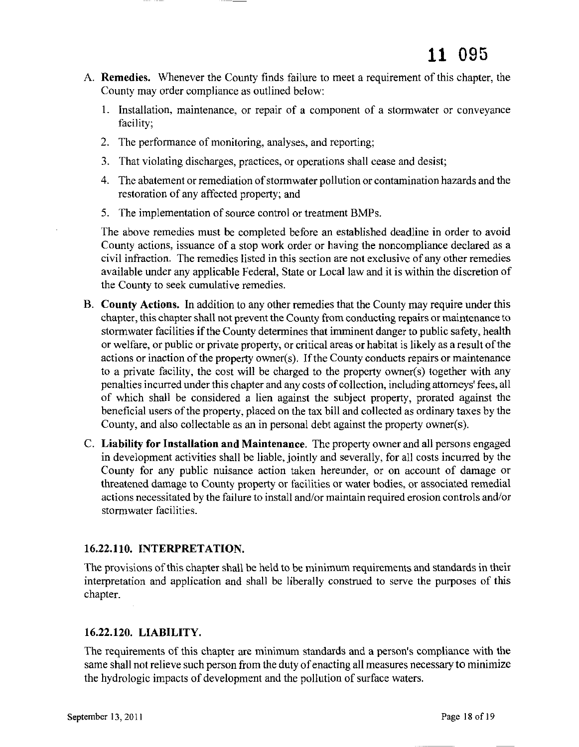- A. Remedies. Whenever the County finds failure to meet a requirement of this chapter, the County may order compliance as outlined below:
	- 1. Installation, maintenance, or repair of a component of a stormwater or conveyance facility;
	- 2. The performance of monitoring, analyses, and reporting;
	- 3. That violating discharges, practices, or operations shall cease and desist;
	- 4. The abatement or remediation of stormwater pollution or contamination hazards and the restoration of any affected property; and
	- 5. The implementation of source control or treatment BMPs.

The above remedies must be completed before an established deadline in order to avoid County actions, issuance of a stop work order or having the noncompliance declared as a civil infraction. The remedies listed in this section are not exclusive of any other remedies available under any applicable Federal, State or Local law and it is within the discretion of the County to seek cumulative remedies.

- B. County Actions. In addition to any other remedies that the County may require under this chapter, this chapter shall not prevent the County from conducting repairs or maintenance to stormwater facilities if the County determines that imminent danger to public safety, health or welfare, or public or private property, or critical areas or habitat is likely as a result of the actions or inaction of the property owner(s). If the County conducts repairs or maintenance to a private facility, the cost will be charged to the property owner(s) together with any penalties incurred under this chapter and any costs of collection, including attorneys' fees, all of which shall be considered a lien against the subject property, prorated against the beneficial users of the property, placed on the tax bill and collected as ordinary taxes by the County, and also collectable as an in personal debt against the property owner(s).
- C. Liability for Installation and Maintenance. The property owner and all persons engaged in development activities shall be liable, jointly and severally, for all costs incurred by the County for any public nuisance action taken hereunder, or on account of damage or threatened damage to County property or facilities or water bodies, or associated remedial actions necessitated by the failure to install and/or maintain required erosion controls and/or stormwater facilities.

#### 16.22.110. INTERPRETATION.

The provisions ofthis chapter shall be held to be minimum requirements and standards in their interpretation and application and shall be liberally construed to serve the purposes of this chapter.

#### 16.22.120. LIABILITY.

The requirements of this chapter are minimum standards and a person's compliance with the same shall not relieve such person from the duty of enacting all measures necessary to minimize the hydrologic impacts of development and the pollution of surface waters.